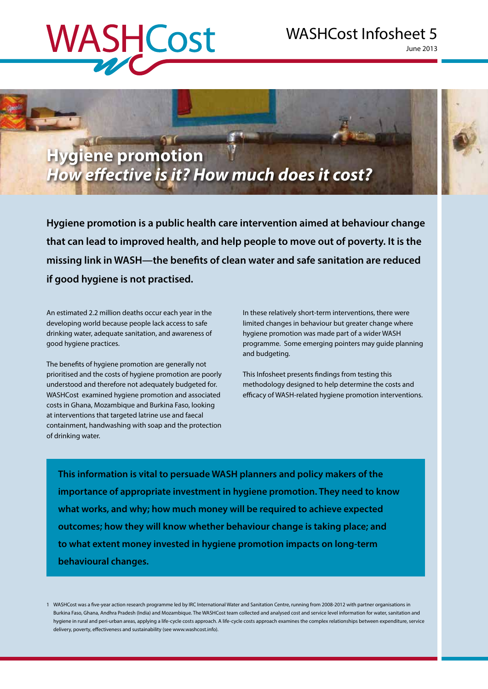# WASHCost

## WASHCost Infosheet 5

June 2013



**Hygiene promotion is a public health care intervention aimed at behaviour change that can lead to improved health, and help people to move out of poverty. It is the missing link in WASH—the benefits of clean water and safe sanitation are reduced if good hygiene is not practised.** 

An estimated 2.2 million deaths occur each year in the developing world because people lack access to safe drinking water, adequate sanitation, and awareness of good hygiene practices.

The benefits of hygiene promotion are generally not prioritised and the costs of hygiene promotion are poorly understood and therefore not adequately budgeted for. WASHCost examined hygiene promotion and associated costs in Ghana, Mozambique and Burkina Faso, looking at interventions that targeted latrine use and faecal containment, handwashing with soap and the protection of drinking water.

In these relatively short-term interventions, there were limited changes in behaviour but greater change where hygiene promotion was made part of a wider WASH programme. Some emerging pointers may guide planning and budgeting.

This Infosheet presents findings from testing this methodology designed to help determine the costs and efficacy of WASH-related hygiene promotion interventions.

**This information is vital to persuade WASH planners and policy makers of the importance of appropriate investment in hygiene promotion. They need to know what works, and why; how much money will be required to achieve expected outcomes; how they will know whether behaviour change is taking place; and to what extent money invested in hygiene promotion impacts on long-term behavioural changes.**

1 WASHCost was a five-year action research programme led by IRC International Water and Sanitation Centre, running from 2008-2012 with partner organisations in Burkina Faso, Ghana, Andhra Pradesh (India) and Mozambique. The WASHCost team collected and analysed cost and service level information for water, sanitation and hygiene in rural and peri-urban areas, applying a life-cycle costs approach. A life-cycle costs approach examines the complex relationships between expenditure, service delivery, poverty, effectiveness and sustainability (see www.washcost.info).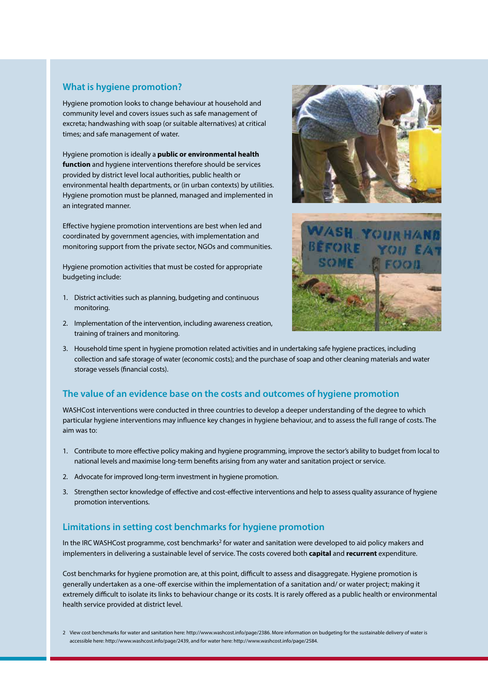#### **What is hygiene promotion?**

Hygiene promotion looks to change behaviour at household and community level and covers issues such as safe management of excreta; handwashing with soap (or suitable alternatives) at critical times; and safe management of water.

Hygiene promotion is ideally a **public or environmental health function** and hygiene interventions therefore should be services provided by district level local authorities, public health or environmental health departments, or (in urban contexts) by utilities. Hygiene promotion must be planned, managed and implemented in an integrated manner.

Effective hygiene promotion interventions are best when led and coordinated by government agencies, with implementation and monitoring support from the private sector, NGOs and communities.

Hygiene promotion activities that must be costed for appropriate budgeting include:

- 1. District activities such as planning, budgeting and continuous monitoring.
- 2. Implementation of the intervention, including awareness creation, training of trainers and monitoring.





3. Household time spent in hygiene promotion related activities and in undertaking safe hygiene practices, including collection and safe storage of water (economic costs); and the purchase of soap and other cleaning materials and water storage vessels (financial costs).

#### **The value of an evidence base on the costs and outcomes of hygiene promotion**

WASHCost interventions were conducted in three countries to develop a deeper understanding of the degree to which particular hygiene interventions may influence key changes in hygiene behaviour, and to assess the full range of costs. The aim was to:

- 1. Contribute to more effective policy making and hygiene programming, improve the sector's ability to budget from local to national levels and maximise long-term benefits arising from any water and sanitation project or service.
- 2. Advocate for improved long-term investment in hygiene promotion.
- 3. Strengthen sector knowledge of effective and cost-effective interventions and help to assess quality assurance of hygiene promotion interventions.

#### **Limitations in setting cost benchmarks for hygiene promotion**

In the IRC WASHCost programme, cost benchmarks<sup>2</sup> for water and sanitation were developed to aid policy makers and implementers in delivering a sustainable level of service. The costs covered both **capital** and **recurrent** expenditure.

Cost benchmarks for hygiene promotion are, at this point, difficult to assess and disaggregate. Hygiene promotion is generally undertaken as a one-off exercise within the implementation of a sanitation and/ or water project; making it extremely difficult to isolate its links to behaviour change or its costs. It is rarely offered as a public health or environmental health service provided at district level.

<sup>2</sup> View cost benchmarks for water and sanitation here: http://www.washcost.info/page/2386. More information on budgeting for the sustainable delivery of water is accessible here: http://www.washcost.info/page/2439, and for water here: http://www.washcost.info/page/2584.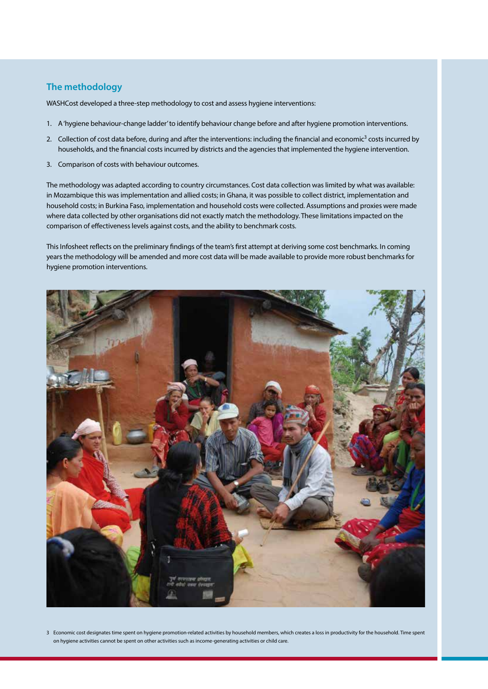#### **The methodology**

WASHCost developed a three-step methodology to cost and assess hygiene interventions:

- 1. A 'hygiene behaviour-change ladder' to identify behaviour change before and after hygiene promotion interventions.
- 2. Collection of cost data before, during and after the interventions: including the financial and economic<sup>3</sup> costs incurred by households, and the financial costs incurred by districts and the agencies that implemented the hygiene intervention.
- 3. Comparison of costs with behaviour outcomes.

The methodology was adapted according to country circumstances. Cost data collection was limited by what was available: in Mozambique this was implementation and allied costs; in Ghana, it was possible to collect district, implementation and household costs; in Burkina Faso, implementation and household costs were collected. Assumptions and proxies were made where data collected by other organisations did not exactly match the methodology. These limitations impacted on the comparison of effectiveness levels against costs, and the ability to benchmark costs.

This Infosheet reflects on the preliminary findings of the team's first attempt at deriving some cost benchmarks. In coming years the methodology will be amended and more cost data will be made available to provide more robust benchmarks for hygiene promotion interventions.



3 Economic cost designates time spent on hygiene promotion-related activities by household members, which creates a loss in productivity for the household. Time spent on hygiene activities cannot be spent on other activities such as income-generating activities or child care.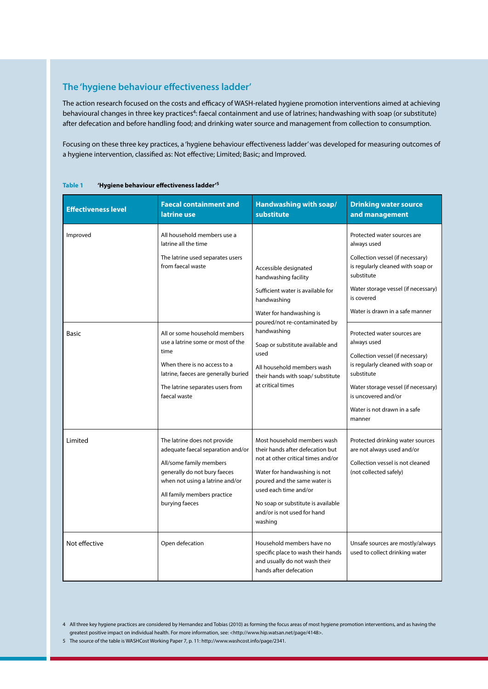### **The 'hygiene behaviour effectiveness ladder'**

The action research focused on the costs and efficacy of WASH-related hygiene promotion interventions aimed at achieving behavioural changes in three key practices<sup>4</sup>: faecal containment and use of latrines; handwashing with soap (or substitute) after defecation and before handling food; and drinking water source and management from collection to consumption.

Focusing on these three key practices, a 'hygiene behaviour effectiveness ladder' was developed for measuring outcomes of a hygiene intervention, classified as: Not effective; Limited; Basic; and Improved.

| <b>Effectiveness level</b> | <b>Faecal containment and</b><br>latrine use                                                                                                                                                                     | Handwashing with soap/<br>substitute                                                                                                                                                                                                                                                                              | <b>Drinking water source</b><br>and management                                                                                                                                                                                            |
|----------------------------|------------------------------------------------------------------------------------------------------------------------------------------------------------------------------------------------------------------|-------------------------------------------------------------------------------------------------------------------------------------------------------------------------------------------------------------------------------------------------------------------------------------------------------------------|-------------------------------------------------------------------------------------------------------------------------------------------------------------------------------------------------------------------------------------------|
| Improved                   | All household members use a<br>latrine all the time<br>The latrine used separates users<br>from faecal waste                                                                                                     | Accessible designated<br>handwashing facility<br>Sufficient water is available for<br>handwashing<br>Water for handwashing is<br>poured/not re-contaminated by<br>handwashing<br>Soap or substitute available and<br>used<br>All household members wash<br>their hands with soap/ substitute<br>at critical times | Protected water sources are<br>always used<br>Collection vessel (if necessary)<br>is regularly cleaned with soap or<br>substitute<br>Water storage vessel (if necessary)<br>is covered<br>Water is drawn in a safe manner                 |
| <b>Basic</b>               | All or some household members<br>use a latrine some or most of the<br>time<br>When there is no access to a<br>latrine, faeces are generally buried<br>The latrine separates users from<br>faecal waste           |                                                                                                                                                                                                                                                                                                                   | Protected water sources are<br>always used<br>Collection vessel (if necessary)<br>is regularly cleaned with soap or<br>substitute<br>Water storage vessel (if necessary)<br>is uncovered and/or<br>Water is not drawn in a safe<br>manner |
| Limited                    | The latrine does not provide<br>adequate faecal separation and/or<br>All/some family members<br>generally do not bury faeces<br>when not using a latrine and/or<br>All family members practice<br>burying faeces | Most household members wash<br>their hands after defecation but<br>not at other critical times and/or<br>Water for handwashing is not<br>poured and the same water is<br>used each time and/or<br>No soap or substitute is available<br>and/or is not used for hand<br>washing                                    | Protected drinking water sources<br>are not always used and/or<br>Collection vessel is not cleaned<br>(not collected safely)                                                                                                              |
| Not effective              | Open defecation                                                                                                                                                                                                  | Household members have no<br>specific place to wash their hands<br>and usually do not wash their<br>hands after defecation                                                                                                                                                                                        | Unsafe sources are mostly/always<br>used to collect drinking water                                                                                                                                                                        |

<sup>4</sup> All three key hygiene practices are considered by Hernandez and Tobias (2010) as forming the focus areas of most hygiene promotion interventions, and as having the greatest positive impact on individual health. For more information, see: <http://www.hip.watsan.net/page/4148>.

<sup>5</sup> The source of the table is WASHCost Working Paper 7, p. 11: http://www.washcost.info/page/2341.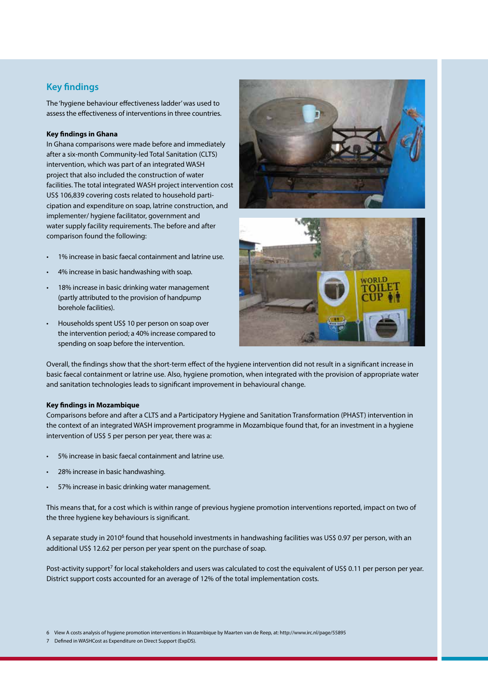#### **Key findings**

The 'hygiene behaviour effectiveness ladder' was used to assess the effectiveness of interventions in three countries.

#### **Key findings in Ghana**

In Ghana comparisons were made before and immediately after a six-month Community-led Total Sanitation (CLTS) intervention, which was part of an integrated WASH project that also included the construction of water facilities. The total integrated WASH project intervention cost US\$ 106,839 covering costs related to household participation and expenditure on soap, latrine construction, and implementer/ hygiene facilitator, government and water supply facility requirements. The before and after comparison found the following:

- 1% increase in basic faecal containment and latrine use.
- 4% increase in basic handwashing with soap.
- 18% increase in basic drinking water management (partly attributed to the provision of handpump borehole facilities).
- Households spent US\$ 10 per person on soap over the intervention period; a 40% increase compared to spending on soap before the intervention.





Overall, the findings show that the short-term effect of the hygiene intervention did not result in a significant increase in basic faecal containment or latrine use. Also, hygiene promotion, when integrated with the provision of appropriate water and sanitation technologies leads to significant improvement in behavioural change.

#### **Key findings in Mozambique**

Comparisons before and after a CLTS and a Participatory Hygiene and Sanitation Transformation (PHAST) intervention in the context of an integrated WASH improvement programme in Mozambique found that, for an investment in a hygiene intervention of US\$ 5 per person per year, there was a:

- 5% increase in basic faecal containment and latrine use.
- 28% increase in basic handwashing.
- 57% increase in basic drinking water management.

This means that, for a cost which is within range of previous hygiene promotion interventions reported, impact on two of the three hygiene key behaviours is significant.

A separate study in 2010<sup>6</sup> found that household investments in handwashing facilities was US\$ 0.97 per person, with an additional US\$ 12.62 per person per year spent on the purchase of soap.

Post-activity support<sup>7</sup> for local stakeholders and users was calculated to cost the equivalent of US\$ 0.11 per person per year. District support costs accounted for an average of 12% of the total implementation costs.

6 View A costs analysis of hygiene promotion interventions in Mozambique by Maarten van de Reep, at: http://www.irc.nl/page/55895

<sup>7</sup> Defined in WASHCost as Expenditure on Direct Support (ExpDS).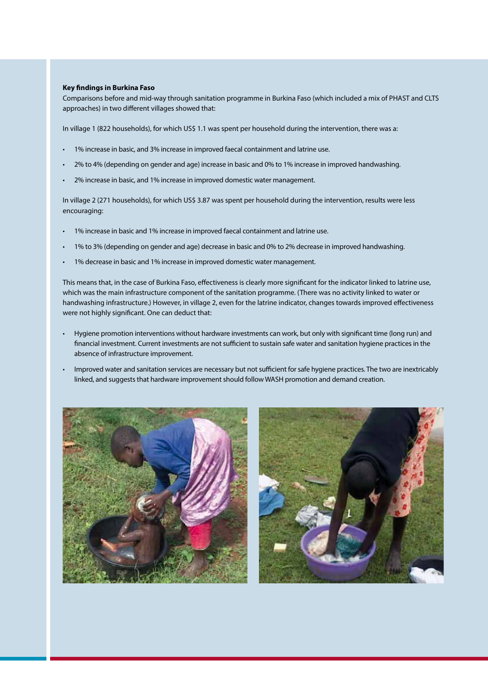#### **Key findings in Burkina Faso**

Comparisons before and mid-way through sanitation programme in Burkina Faso (which included a mix of PHAST and CLTS approaches) in two different villages showed that:

In village 1 (822 households), for which US\$ 1.1 was spent per household during the intervention, there was a:

- 1% increase in basic, and 3% increase in improved faecal containment and latrine use.
- 2% to 4% (depending on gender and age) increase in basic and 0% to 1% increase in improved handwashing.
- 2% increase in basic, and 1% increase in improved domestic water management.

In village 2 (271 households), for which US\$ 3.87 was spent per household during the intervention, results were less encouraging:

- 1% increase in basic and 1% increase in improved faecal containment and latrine use.
- 1% to 3% (depending on gender and age) decrease in basic and 0% to 2% decrease in improved handwashing.
- 1% decrease in basic and 1% increase in improved domestic water management.

This means that, in the case of Burkina Faso, effectiveness is clearly more significant for the indicator linked to latrine use, which was the main infrastructure component of the sanitation programme. (There was no activity linked to water or handwashing infrastructure.) However, in village 2, even for the latrine indicator, changes towards improved effectiveness were not highly significant. One can deduct that:

- Hygiene promotion interventions without hardware investments can work, but only with significant time (long run) and financial investment. Current investments are not sufficient to sustain safe water and sanitation hygiene practices in the absence of infrastructure improvement.
- Improved water and sanitation services are necessary but not sufficient for safe hygiene practices. The two are inextricably linked, and suggests that hardware improvement should follow WASH promotion and demand creation.



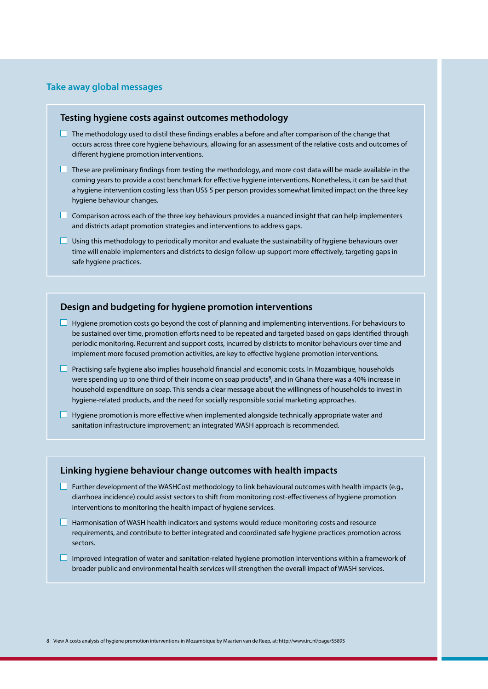#### **Take away global messages**

#### **Testing hygiene costs against outcomes methodology**

- $\Box$  The methodology used to distil these findings enables a before and after comparison of the change that occurs across three core hygiene behaviours, allowing for an assessment of the relative costs and outcomes of different hygiene promotion interventions.
- $\Box$  These are preliminary findings from testing the methodology, and more cost data will be made available in the coming years to provide a cost benchmark for effective hygiene interventions. Nonetheless, it can be said that a hygiene intervention costing less than US\$ 5 per person provides somewhat limited impact on the three key hygiene behaviour changes.
- $\Box$  Comparison across each of the three key behaviours provides a nuanced insight that can help implementers and districts adapt promotion strategies and interventions to address gaps.
- $\Box$  Using this methodology to periodically monitor and evaluate the sustainability of hygiene behaviours over time will enable implementers and districts to design follow-up support more effectively, targeting gaps in safe hygiene practices.

#### **Design and budgeting for hygiene promotion interventions**

- $\Box$  Hygiene promotion costs go beyond the cost of planning and implementing interventions. For behaviours to be sustained over time, promotion efforts need to be repeated and targeted based on gaps identified through periodic monitoring. Recurrent and support costs, incurred by districts to monitor behaviours over time and implement more focused promotion activities, are key to effective hygiene promotion interventions.
- $\Box$  Practising safe hygiene also implies household financial and economic costs. In Mozambique, households were spending up to one third of their income on soap products<sup>8</sup>, and in Ghana there was a 40% increase in household expenditure on soap. This sends a clear message about the willingness of households to invest in hygiene-related products, and the need for socially responsible social marketing approaches.
- $\Box$  Hygiene promotion is more effective when implemented alongside technically appropriate water and sanitation infrastructure improvement; an integrated WASH approach is recommended.

#### **Linking hygiene behaviour change outcomes with health impacts**

- $\Box$  Further development of the WASHCost methodology to link behavioural outcomes with health impacts (e.g., diarrhoea incidence) could assist sectors to shift from monitoring cost-effectiveness of hygiene promotion interventions to monitoring the health impact of hygiene services.
- $\Box$  Harmonisation of WASH health indicators and systems would reduce monitoring costs and resource requirements, and contribute to better integrated and coordinated safe hygiene practices promotion across sectors.
- $\Box$  Improved integration of water and sanitation-related hygiene promotion interventions within a framework of broader public and environmental health services will strengthen the overall impact of WASH services.